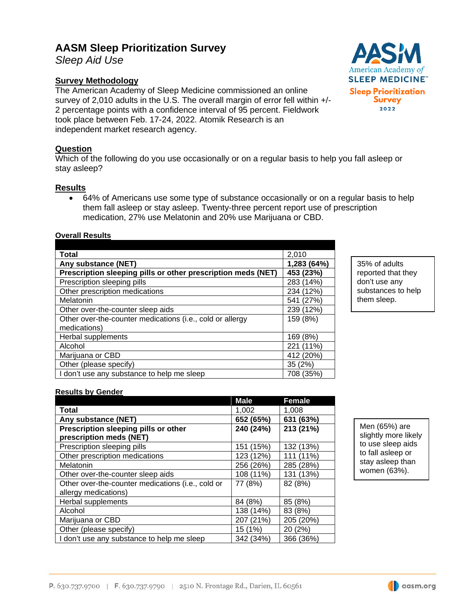# **AASM Sleep Prioritization Survey**

*Sleep Aid Use*

## **Survey Methodology**

The American Academy of Sleep Medicine commissioned an online survey of 2,010 adults in the U.S. The overall margin of error fell within +/- 2 percentage points with a confidence interval of 95 percent. Fieldwork took place between Feb. 17-24, 2022. Atomik Research is an independent market research agency.

## **Question**

Which of the following do you use occasionally or on a regular basis to help you fall asleep or stay asleep?

## **Results**

• 64% of Americans use some type of substance occasionally or on a regular basis to help them fall asleep or stay asleep. Twenty-three percent report use of prescription medication, 27% use Melatonin and 20% use Marijuana or CBD.

### **Overall Results**

| Total                                                        | 2,010           |
|--------------------------------------------------------------|-----------------|
| Any substance (NET)                                          | 1,283 (64%)     |
| Prescription sleeping pills or other prescription meds (NET) | 453 (23%)       |
| Prescription sleeping pills                                  | 283 (14%)       |
| Other prescription medications                               | 234 (12%)       |
| Melatonin                                                    | (27%)<br>541    |
| Other over-the-counter sleep aids                            | 239 (12%)       |
| Other over-the-counter medications (i.e., cold or allergy    | 159 (8%)        |
| medications)                                                 |                 |
| Herbal supplements                                           | 169 (8%)        |
| Alcohol                                                      | $(11\%)$<br>221 |
| Marijuana or CBD                                             | 412 (20%)       |
| Other (please specify)                                       | 35(2%)          |
| I don't use any substance to help me sleep                   | 708 (35%)       |

35% of adults reported that they don't use any substances to help them sleep.

#### **Results by Gender**

|                                                   | <b>Male</b> | <b>Female</b> |
|---------------------------------------------------|-------------|---------------|
| Total                                             | 1,002       | 1,008         |
| Any substance (NET)                               | 652 (65%)   | 631 (63%)     |
| Prescription sleeping pills or other              | 240 (24%)   | 213 (21%)     |
| prescription meds (NET)                           |             |               |
| Prescription sleeping pills                       | 151 (15%)   | 132 (13%)     |
| Other prescription medications                    | 123 (12%)   | 111 (11%)     |
| Melatonin                                         | 256 (26%)   | 285 (28%)     |
| Other over-the-counter sleep aids                 | 108 (11%)   | 131 (13%)     |
| Other over-the-counter medications (i.e., cold or | 77 (8%)     | 82 (8%)       |
| allergy medications)                              |             |               |
| Herbal supplements                                | 84 (8%)     | 85 (8%)       |
| Alcohol                                           | 138 (14%)   | 83 (8%)       |
| Marijuana or CBD                                  | 207 (21%)   | 205 (20%)     |
| Other (please specify)                            | 15 (1%)     | 20 (2%)       |
| I don't use any substance to help me sleep        | 342 (34%)   | 366 (36%)     |

Men (65%) are slightly more likely to use sleep aids to fall asleep or stay asleep than women (63%).



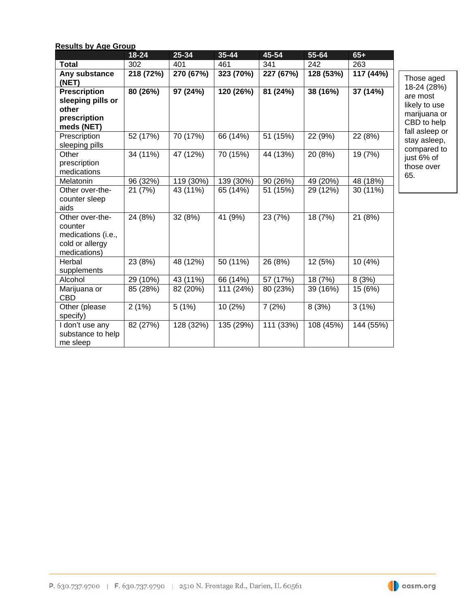| <b>Results by Age Group</b>                                                         |           |           |           |           |           |           |
|-------------------------------------------------------------------------------------|-----------|-----------|-----------|-----------|-----------|-----------|
|                                                                                     | $18 - 24$ | 25-34     | $35 - 44$ | $45 - 54$ | 55-64     | $65+$     |
| <b>Total</b>                                                                        | 302       | 401       | 461       | 341       | 242       | 263       |
| Any substance<br>(NET)                                                              | 218 (72%) | 270 (67%) | 323 (70%) | 227 (67%) | 128 (53%) | 117 (44%) |
| <b>Prescription</b><br>sleeping pills or<br>other<br>prescription<br>meds (NET)     | 80 (26%)  | 97 (24%)  | 120 (26%) | 81 (24%)  | 38 (16%)  | 37 (14%)  |
| Prescription<br>sleeping pills                                                      | 52 (17%)  | 70 (17%)  | 66 (14%)  | 51 (15%)  | 22 (9%)   | 22 (8%)   |
| Other<br>prescription<br>medications                                                | 34 (11%)  | 47 (12%)  | 70 (15%)  | 44 (13%)  | 20 (8%)   | 19 (7%)   |
| Melatonin                                                                           | 96 (32%)  | 119 (30%) | 139 (30%) | 90 (26%)  | 49 (20%)  | 48 (18%)  |
| Other over-the-<br>counter sleep                                                    | 21 (7%)   | 43 (11%)  | 65 (14%)  | 51 (15%)  | 29 (12%)  | 30 (11%)  |
| Other over-the-<br>counter<br>medications (i.e.,<br>cold or allergy<br>medications) | 24 (8%)   | 32 (8%)   | 41 (9%)   | 23 (7%)   | 18 (7%)   | 21 (8%)   |
| Herbal<br>supplements                                                               | 23 (8%)   | 48 (12%)  | 50(11%)   | 26 (8%)   | 12 (5%)   | 10 (4%)   |
| Alcohol                                                                             | 29 (10%)  | 43 (11%)  | 66 (14%)  | 57 (17%)  | 18 (7%)   | 8(3%)     |
| Marijuana or                                                                        | 85 (28%)  | 82 (20%)  | 111 (24%) | 80 (23%)  | 39 (16%)  | 15 (6%)   |
| Other (please<br>specify)                                                           | 2(1%)     | 5(1%)     | 10(2%)    | 7(2%)     | 8(3%)     | 3(1%)     |
| I don't use any<br>substance to help<br>me sleep                                    | 82 (27%)  | 128 (32%) | 135 (29%) | 111 (33%) | 108 (45%) | 144 (55%) |

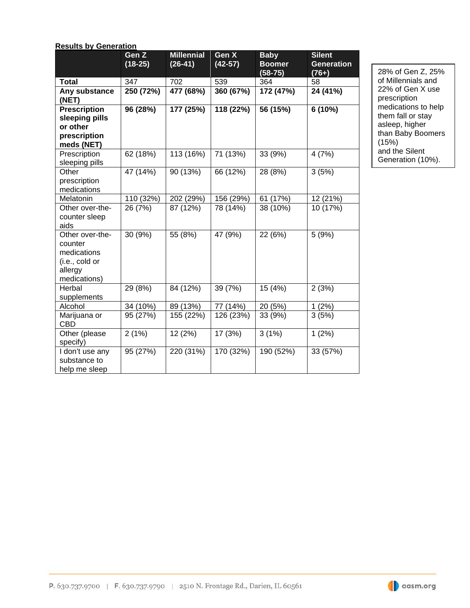|  | <b>Results by Generation</b> |
|--|------------------------------|
|  |                              |

|                            | Gen Z<br>$(18-25)$ | <b>Millennial</b><br>$(26-41)$ | Gen X<br>$(42-57)$ | <b>Baby</b><br><b>Boomer</b> | <b>Silent</b><br><b>Generation</b> |
|----------------------------|--------------------|--------------------------------|--------------------|------------------------------|------------------------------------|
|                            |                    |                                |                    | $(58-75)$                    | $(76+)$                            |
| <b>Total</b>               | 347                | 702                            | 539                | 364                          | 58                                 |
| Any substance              | 250 (72%)          | 477 (68%)                      | 360 (67%)          | 172 (47%)                    | 24 (41%)                           |
| (NET)                      |                    |                                |                    |                              |                                    |
| <b>Prescription</b>        | 96 (28%)           | 177 (25%)                      | 118 (22%)          | 56 (15%)                     | 6 (10%)                            |
| sleeping pills<br>or other |                    |                                |                    |                              |                                    |
| prescription               |                    |                                |                    |                              |                                    |
| meds (NET)                 |                    |                                |                    |                              |                                    |
| Prescription               | 62 (18%)           | 113 (16%)                      | 71 (13%)           | 33 (9%)                      | 4(7%)                              |
| sleeping pills             |                    |                                |                    |                              |                                    |
| Other                      | 47 (14%)           | 90 (13%)                       | 66 (12%)           | 28 (8%)                      | 3(5%)                              |
| prescription               |                    |                                |                    |                              |                                    |
| medications                |                    |                                |                    |                              |                                    |
| Melatonin                  | 110 (32%)          | 202 (29%)                      | 156 (29%)          | 61 (17%)                     | 12 (21%)                           |
| Other over-the-            | 26 (7%)            | 87 (12%)                       | 78 (14%)           | 38 (10%)                     | 10 (17%)                           |
| counter sleep              |                    |                                |                    |                              |                                    |
| aids                       |                    |                                |                    |                              |                                    |
| Other over-the-            | 30 (9%)            | 55 (8%)                        | 47 (9%)            | 22 (6%)                      | 5(9%)                              |
| counter<br>medications     |                    |                                |                    |                              |                                    |
| (i.e., cold or             |                    |                                |                    |                              |                                    |
| allergy                    |                    |                                |                    |                              |                                    |
| medications)               |                    |                                |                    |                              |                                    |
| Herbal                     | 29 (8%)            | 84 (12%)                       | 39 (7%)            | 15 (4%)                      | 2(3%)                              |
| supplements                |                    |                                |                    |                              |                                    |
| Alcohol                    | 34 (10%)           | 89 (13%)                       | 77 (14%)           | 20 (5%)                      | 1(2%)                              |
| Marijuana or               | 95 (27%)           | 155 (22%)                      | 126 (23%)          | 33 (9%)                      | 3(5%)                              |
| <b>CBD</b>                 |                    |                                |                    |                              |                                    |
| Other (please              | 2(1%)              | 12 (2%)                        | 17 (3%)            | 3(1%)                        | 1(2%)                              |
| specify)                   |                    |                                |                    |                              |                                    |
| I don't use any            | 95 (27%)           | 220 (31%)                      | 170 (32%)          | 190 (52%)                    | 33 (57%)                           |
| substance to               |                    |                                |                    |                              |                                    |
| help me sleep              |                    |                                |                    |                              |                                    |

28% of Gen Z, 25% of Millennials and 22% of Gen X use prescription medications to help them fall or stay asleep, higher than Baby Boomers (15%) and the Silent Generation (10%).

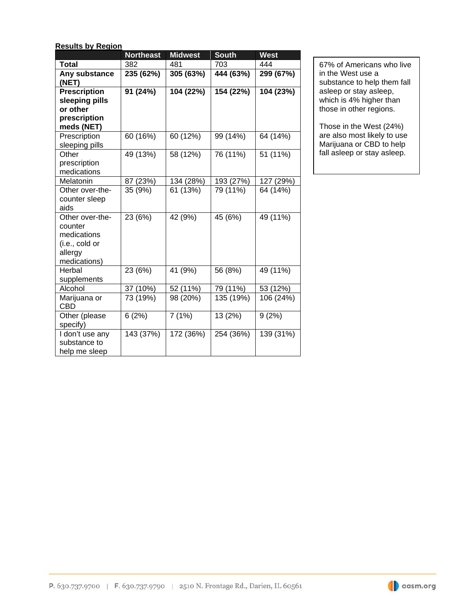| <b>Results by Region</b> |  |
|--------------------------|--|
|                          |  |

|                                                                                        | <b>Northeast</b> | <b>Midwest</b> | <b>South</b> | <b>West</b> |
|----------------------------------------------------------------------------------------|------------------|----------------|--------------|-------------|
| <b>Total</b>                                                                           | 382              | 481            | 703          | 444         |
| Any substance<br>(NET)                                                                 | 235 (62%)        | 305 (63%)      | 444 (63%)    | 299 (67%)   |
| <b>Prescription</b><br>sleeping pills<br>or other<br>prescription<br>meds (NET)        | 91 (24%)         | 104 (22%)      | 154 (22%)    | 104 (23%)   |
| Prescription<br>sleeping pills                                                         | 60 (16%)         | 60 (12%)       | 99 (14%)     | 64 (14%)    |
| Other<br>prescription<br>medications                                                   | 49 (13%)         | 58 (12%)       | 76 (11%)     | 51 (11%)    |
| Melatonin                                                                              | 87 (23%)         | 134 (28%)      | 193 (27%)    | 127 (29%)   |
| Other over-the-<br>counter sleep<br>aids                                               | 35 (9%)          | 61 (13%)       | 79 (11%)     | 64 (14%)    |
| Other over-the-<br>counter<br>medications<br>(i.e., cold or<br>allergy<br>medications) | 23 (6%)          | 42 (9%)        | 45 (6%)      | 49 (11%)    |
| Herbal<br>supplements                                                                  | 23 (6%)          | 41 (9%)        | 56 (8%)      | 49 (11%)    |
| Alcohol                                                                                | 37 (10%)         | 52 (11%)       | 79 (11%)     | 53 (12%)    |
| Marijuana or<br>CBD                                                                    | 73 (19%)         | 98 (20%)       | 135 (19%)    | 106 (24%)   |
| Other (please<br>specify)                                                              | 6(2%)            | 7(1%)          | 13 (2%)      | 9(2%)       |
| I don't use any<br>substance to<br>help me sleep                                       | 143 (37%)        | 172 (36%)      | 254 (36%)    | 139 (31%)   |

67% of Americans who live in the West use a substance to help them fall asleep or stay asleep, which is 4% higher than those in other regions.

Those in the West (24%) are also most likely to use Marijuana or CBD to help fall asleep or stay asleep.